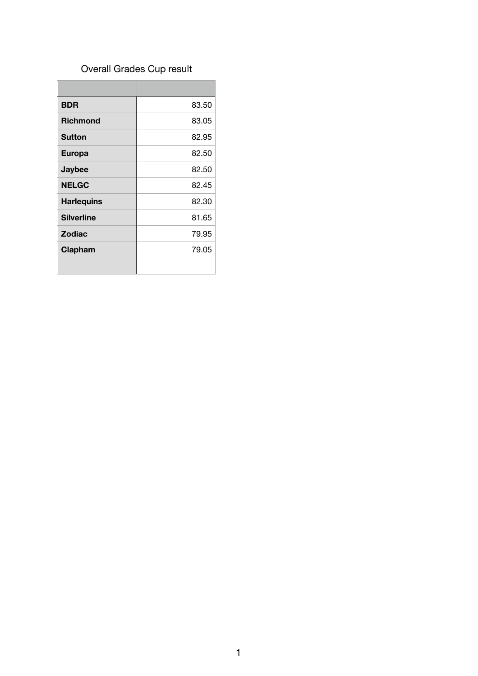# Overall Grades Cup result

| <b>BDR</b>        | 83.50 |
|-------------------|-------|
| <b>Richmond</b>   | 83.05 |
| <b>Sutton</b>     | 82.95 |
| <b>Europa</b>     | 82.50 |
| Jaybee            | 82.50 |
| <b>NELGC</b>      | 82.45 |
| <b>Harlequins</b> | 82.30 |
| <b>Silverline</b> | 81.65 |
| <b>Zodiac</b>     | 79.95 |
| Clapham           | 79.05 |
|                   |       |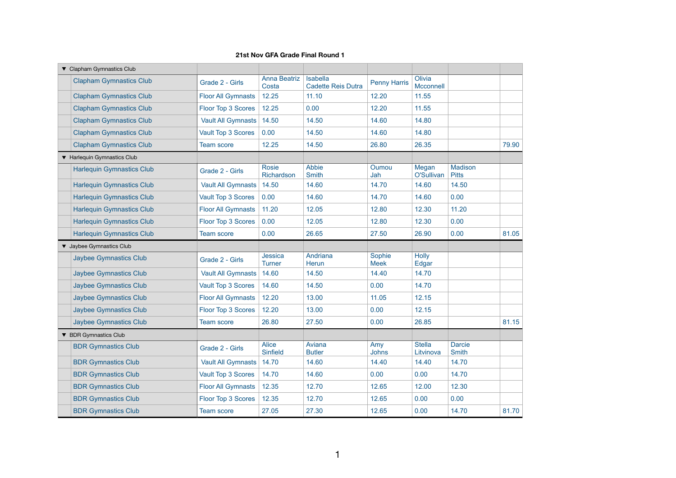| ▼ Clapham Gymnastics Club        |                           |                                 |                                              |                       |                            |                                |       |
|----------------------------------|---------------------------|---------------------------------|----------------------------------------------|-----------------------|----------------------------|--------------------------------|-------|
| <b>Clapham Gymnastics Club</b>   | Grade 2 - Girls           | <b>Anna Beatriz</b><br>Costa    | <b>Isabella</b><br><b>Cadette Reis Dutra</b> | <b>Penny Harris</b>   | Olivia<br><b>Mcconnell</b> |                                |       |
| <b>Clapham Gymnastics Club</b>   | <b>Floor All Gymnasts</b> | 12.25                           | 11.10                                        | 12.20                 | 11.55                      |                                |       |
| <b>Clapham Gymnastics Club</b>   | Floor Top 3 Scores        | 12.25                           | 0.00                                         | 12.20                 | 11.55                      |                                |       |
| <b>Clapham Gymnastics Club</b>   | <b>Vault All Gymnasts</b> | 14.50                           | 14.50                                        | 14.60                 | 14.80                      |                                |       |
| <b>Clapham Gymnastics Club</b>   | <b>Vault Top 3 Scores</b> | 0.00                            | 14.50                                        | 14.60                 | 14.80                      |                                |       |
| <b>Clapham Gymnastics Club</b>   | <b>Team score</b>         | 12.25                           | 14.50                                        | 26.80                 | 26.35                      |                                | 79.90 |
| ▼ Harlequin Gymnastics Club      |                           |                                 |                                              |                       |                            |                                |       |
| <b>Harlequin Gymnastics Club</b> | Grade 2 - Girls           | <b>Rosie</b><br>Richardson      | <b>Abbie</b><br><b>Smith</b>                 | Oumou<br>Jah          | Megan<br>O'Sullivan        | <b>Madison</b><br><b>Pitts</b> |       |
| <b>Harlequin Gymnastics Club</b> | <b>Vault All Gymnasts</b> | 14.50                           | 14.60                                        | 14.70                 | 14.60                      | 14.50                          |       |
| <b>Harlequin Gymnastics Club</b> | <b>Vault Top 3 Scores</b> | 0.00                            | 14.60                                        | 14.70                 | 14.60                      | 0.00                           |       |
| <b>Harlequin Gymnastics Club</b> | <b>Floor All Gymnasts</b> | 11.20                           | 12.05                                        | 12.80                 | 12.30                      | 11.20                          |       |
| <b>Harlequin Gymnastics Club</b> | <b>Floor Top 3 Scores</b> | 0.00                            | 12.05                                        | 12.80                 | 12.30                      | 0.00                           |       |
| <b>Harlequin Gymnastics Club</b> | <b>Team score</b>         | 0.00                            | 26.65                                        | 27.50                 | 26.90                      | 0.00                           | 81.05 |
| V Jaybee Gymnastics Club         |                           |                                 |                                              |                       |                            |                                |       |
| <b>Jaybee Gymnastics Club</b>    | Grade 2 - Girls           | <b>Jessica</b><br><b>Turner</b> | Andriana<br><b>Herun</b>                     | Sophie<br><b>Meek</b> | <b>Holly</b><br>Edgar      |                                |       |
| <b>Jaybee Gymnastics Club</b>    | <b>Vault All Gymnasts</b> | 14.60                           | 14.50                                        | 14.40                 | 14.70                      |                                |       |
| <b>Jaybee Gymnastics Club</b>    | <b>Vault Top 3 Scores</b> | 14.60                           | 14.50                                        | 0.00                  | 14.70                      |                                |       |
| <b>Jaybee Gymnastics Club</b>    | <b>Floor All Gymnasts</b> | 12.20                           | 13.00                                        | 11.05                 | 12.15                      |                                |       |
| <b>Jaybee Gymnastics Club</b>    | Floor Top 3 Scores        | 12.20                           | 13.00                                        | 0.00                  | 12.15                      |                                |       |
| <b>Jaybee Gymnastics Club</b>    | <b>Team score</b>         | 26.80                           | 27.50                                        | 0.00                  | 26.85                      |                                | 81.15 |
| ▼ BDR Gymnastics Club            |                           |                                 |                                              |                       |                            |                                |       |
| <b>BDR Gymnastics Club</b>       | Grade 2 - Girls           | <b>Alice</b><br><b>Sinfield</b> | Aviana<br><b>Butler</b>                      | Amy<br><b>Johns</b>   | <b>Stella</b><br>Litvinova | <b>Darcie</b><br><b>Smith</b>  |       |
| <b>BDR Gymnastics Club</b>       | <b>Vault All Gymnasts</b> | 14.70                           | 14.60                                        | 14.40                 | 14.40                      | 14.70                          |       |
| <b>BDR Gymnastics Club</b>       | <b>Vault Top 3 Scores</b> | 14.70                           | 14.60                                        | 0.00                  | 0.00                       | 14.70                          |       |
| <b>BDR Gymnastics Club</b>       | <b>Floor All Gymnasts</b> | 12.35                           | 12.70                                        | 12.65                 | 12.00                      | 12.30                          |       |
| <b>BDR Gymnastics Club</b>       | Floor Top 3 Scores        | 12.35                           | 12.70                                        | 12.65                 | 0.00                       | 0.00                           |       |
| <b>BDR Gymnastics Club</b>       | <b>Team score</b>         | 27.05                           | 27.30                                        | 12.65                 | 0.00                       | 14.70                          | 81.70 |

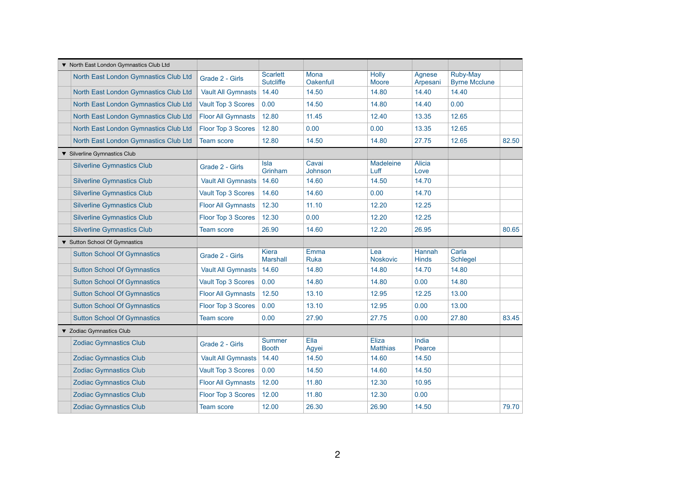| ▼ North East London Gymnastics Club Ltd |                           |                                     |                          |                                 |                        |                                         |       |
|-----------------------------------------|---------------------------|-------------------------------------|--------------------------|---------------------------------|------------------------|-----------------------------------------|-------|
| North East London Gymnastics Club Ltd   | Grade 2 - Girls           | <b>Scarlett</b><br><b>Sutcliffe</b> | Mona<br><b>Oakenfull</b> | <b>Holly</b><br><b>Moore</b>    | Agnese<br>Arpesani     | <b>Ruby-May</b><br><b>Byrne Mcclune</b> |       |
| North East London Gymnastics Club Ltd   | <b>Vault All Gymnasts</b> | 14.40                               | 14.50                    | 14.80                           | 14.40                  | 14.40                                   |       |
| North East London Gymnastics Club Ltd   | Vault Top 3 Scores        | 0.00                                | 14.50                    | 14.80                           | 14.40                  | 0.00                                    |       |
| North East London Gymnastics Club Ltd   | <b>Floor All Gymnasts</b> | 12.80                               | 11.45                    | 12.40                           | 13.35                  | 12.65                                   |       |
| North East London Gymnastics Club Ltd   | <b>Floor Top 3 Scores</b> | 12.80                               | 0.00                     | 0.00                            | 13.35                  | 12.65                                   |       |
| North East London Gymnastics Club Ltd   | <b>Team score</b>         | 12.80                               | 14.50                    | 14.80                           | 27.75                  | 12.65                                   | 82.50 |
| ▼ Silverline Gymnastics Club            |                           |                                     |                          |                                 |                        |                                         |       |
| <b>Silverline Gymnastics Club</b>       | Grade 2 - Girls           | <b>Isla</b><br>Grinham              | Cavai<br>Johnson         | <b>Madeleine</b><br>Luff        | <b>Alicia</b><br>Love  |                                         |       |
| <b>Silverline Gymnastics Club</b>       | <b>Vault All Gymnasts</b> | 14.60                               | 14.60                    | 14.50                           | 14.70                  |                                         |       |
| <b>Silverline Gymnastics Club</b>       | Vault Top 3 Scores        | 14.60                               | 14.60                    | 0.00                            | 14.70                  |                                         |       |
| <b>Silverline Gymnastics Club</b>       | <b>Floor All Gymnasts</b> | 12.30                               | 11.10                    | 12.20                           | 12.25                  |                                         |       |
| <b>Silverline Gymnastics Club</b>       | Floor Top 3 Scores        | 12.30                               | 0.00                     | 12.20                           | 12.25                  |                                         |       |
| <b>Silverline Gymnastics Club</b>       | <b>Team score</b>         | 26.90                               | 14.60                    | 12.20                           | 26.95                  |                                         | 80.65 |
| ▼ Sutton School Of Gymnastics           |                           |                                     |                          |                                 |                        |                                         |       |
| <b>Sutton School Of Gymnastics</b>      | Grade 2 - Girls           | <b>Kiera</b><br><b>Marshall</b>     | Emma<br><b>Ruka</b>      | Lea<br><b>Noskovic</b>          | Hannah<br><b>Hinds</b> | Carla<br><b>Schlegel</b>                |       |
| <b>Sutton School Of Gymnastics</b>      | <b>Vault All Gymnasts</b> | 14.60                               | 14.80                    | 14.80                           | 14.70                  | 14.80                                   |       |
| <b>Sutton School Of Gymnastics</b>      | Vault Top 3 Scores        | 0.00                                | 14.80                    | 14.80                           | 0.00                   | 14.80                                   |       |
| <b>Sutton School Of Gymnastics</b>      | <b>Floor All Gymnasts</b> | 12.50                               | 13.10                    | 12.95                           | 12.25                  | 13.00                                   |       |
| <b>Sutton School Of Gymnastics</b>      | Floor Top 3 Scores        | 0.00                                | 13.10                    | 12.95                           | 0.00                   | 13.00                                   |       |
| <b>Sutton School Of Gymnastics</b>      | <b>Team score</b>         | 0.00                                | 27.90                    | 27.75                           | 0.00                   | 27.80                                   | 83.45 |
| ▼ Zodiac Gymnastics Club                |                           |                                     |                          |                                 |                        |                                         |       |
| <b>Zodiac Gymnastics Club</b>           | Grade 2 - Girls           | <b>Summer</b><br><b>Booth</b>       | Ella<br>Agyei            | <b>Eliza</b><br><b>Matthias</b> | India<br>Pearce        |                                         |       |
| <b>Zodiac Gymnastics Club</b>           | <b>Vault All Gymnasts</b> | 14.40                               | 14.50                    | 14.60                           | 14.50                  |                                         |       |
| <b>Zodiac Gymnastics Club</b>           | <b>Vault Top 3 Scores</b> | 0.00                                | 14.50                    | 14.60                           | 14.50                  |                                         |       |
| <b>Zodiac Gymnastics Club</b>           | <b>Floor All Gymnasts</b> | 12.00                               | 11.80                    | 12.30                           | 10.95                  |                                         |       |
| <b>Zodiac Gymnastics Club</b>           | Floor Top 3 Scores        | 12.00                               | 11.80                    | 12.30                           | 0.00                   |                                         |       |
| <b>Zodiac Gymnastics Club</b>           | <b>Team score</b>         | 12.00                               | 26.30                    | 26.90                           | 14.50                  |                                         | 79.70 |

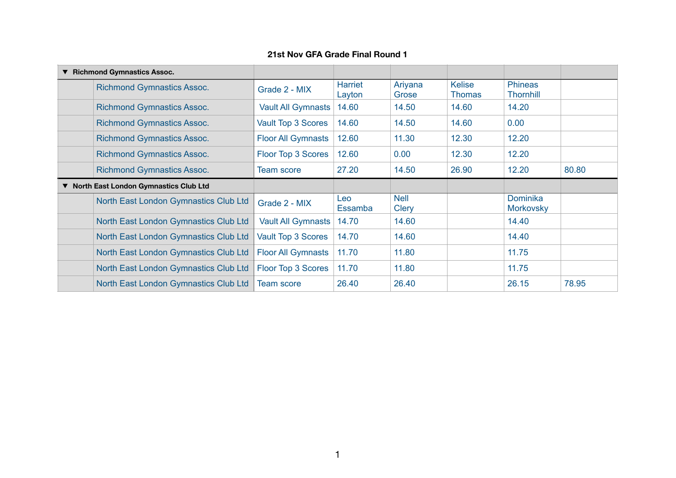| ▼ | <b>Richmond Gymnastics Assoc.</b>       |                           |                          |                             |                                |                                    |       |
|---|-----------------------------------------|---------------------------|--------------------------|-----------------------------|--------------------------------|------------------------------------|-------|
|   | <b>Richmond Gymnastics Assoc.</b>       | Grade 2 - MIX             | <b>Harriet</b><br>Layton | Ariyana<br>Grose            | <b>Kelise</b><br><b>Thomas</b> | <b>Phineas</b><br><b>Thornhill</b> |       |
|   | <b>Richmond Gymnastics Assoc.</b>       | Vault All Gymnasts        | 14.60                    | 14.50                       | 14.60                          | 14.20                              |       |
|   | <b>Richmond Gymnastics Assoc.</b>       | <b>Vault Top 3 Scores</b> | 14.60                    | 14.50                       | 14.60                          | 0.00                               |       |
|   | <b>Richmond Gymnastics Assoc.</b>       | <b>Floor All Gymnasts</b> | 12.60                    | 11.30                       | 12.30                          | 12.20                              |       |
|   | <b>Richmond Gymnastics Assoc.</b>       | Floor Top 3 Scores        | 12.60                    | 0.00                        | 12.30                          | 12.20                              |       |
|   | <b>Richmond Gymnastics Assoc.</b>       | <b>Team score</b>         | 27.20                    | 14.50                       | 26.90                          | 12.20                              | 80.80 |
|   |                                         |                           |                          |                             |                                |                                    |       |
|   | ▼ North East London Gymnastics Club Ltd |                           |                          |                             |                                |                                    |       |
|   | North East London Gymnastics Club Ltd   | Grade 2 - MIX             | Leo<br><b>Essamba</b>    | <b>Nell</b><br><b>Clery</b> |                                | Dominika<br><b>Morkovsky</b>       |       |
|   | North East London Gymnastics Club Ltd   | <b>Vault All Gymnasts</b> | 14.70                    | 14.60                       |                                | 14.40                              |       |
|   | North East London Gymnastics Club Ltd   | <b>Vault Top 3 Scores</b> | 14.70                    | 14.60                       |                                | 14.40                              |       |
|   | North East London Gymnastics Club Ltd   | <b>Floor All Gymnasts</b> | 11.70                    | 11.80                       |                                | 11.75                              |       |
|   | North East London Gymnastics Club Ltd   | <b>Floor Top 3 Scores</b> | 11.70                    | 11.80                       |                                | 11.75                              |       |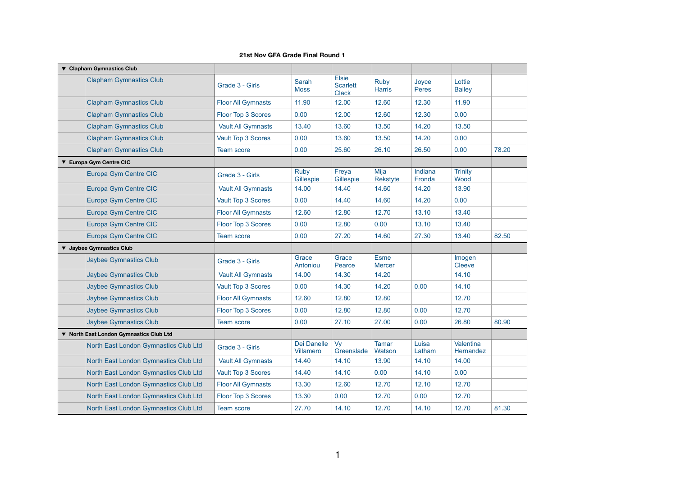#### **Clapham Gymnastics Club** Clapham Gymnastics Club Grade 3 - Girls Sarah **Moss** Elsie **Scarlett Clack** Ruby **Harris** Joyce **Peres Lottie Bailey** Clapham Gymnastics Club **Floor All Gymnasts** 11.90 12.00 12.60 12.30 11.90 Clapham Gymnastics Club Floor Top 3 Scores 0.00 12.00 12.60 12.30 0.00 Clapham Gymnastics Club Vault All Gymnasts 13.40 13.60 13.50 14.20 13.50 Clapham Gymnastics Club Vault Top 3 Scores 0.00 13.60 13.50 14.20 0.00 Clapham Gymnastics Club Team score 10.00 25.60 26.10 26.50 0.00 **Europa Gym Centre CIC** Europa Gym Centre CIC Grade 3 - Girls Ruby Gillespie Freya Gillespie Mija Rekstyte Indiana Fronda **Trinity** Wood Europa Gym Centre CIC Vault All Gymnasts 14.00 14.40 14.60 14.20 13.90 Europa Gym Centre CIC Vault Top 3 Scores 0.00 14.40 14.60 14.20 0.00 Europa Gym Centre CIC **Floor All Gymnasts** 12.60 12.80 12.70 13.10 13.40 Europa Gym Centre CIC **Floor Top 3 Scores** 0.00 12.80 0.00 13.40 13.40 Europa Gym Centre CIC **Team score** 10.00 27.20 14.60 27.30 13.40 **Jaybee Gymnastics Club** Jaybee Gymnastics Club Grade 3 - Girls Grace Antoniou **Grace Pearce** Esme **Mercer** Imogen **Cleeve** Jaybee Gymnastics Club Vault All Gymnasts 14.00 14.30 14.20 14.10 Jaybee Gymnastics Club Vault Top 3 Scores 0.00 14.30 14.20 0.00 14.10 Jaybee Gymnastics Club Floor All Gymnasts 12.60 12.80 12.80 12.70 Jaybee Gymnastics Club Floor Top 3 Scores 0.00 12.80 12.80 0.00 12.70 Jaybee Gymnastics Club Team score 0.00 27.10 27.00 0.00 26.80 80.90 **North East London Gymnastics Club Ltd** North East London Gymnastics Club Ltd Grade 3 - Girls Dei Danelle Villamero Vy **Greenslade** Tamar **Watson** Luisa Latham **Valentina Hernandez** North East London Gymnastics Club Ltd | Vault All Gymnasts | 14.40 | 14.10 | 13.90 | 14.10 | 14.00 North East London Gymnastics Club Ltd | Vault Top 3 Scores | 14.40 | 14.10 | 0.00 | 14.10 | 0.00 North East London Gymnastics Club Ltd Floor All Gymnasts 13.30 12.60 12.70 12.70 12.10 12.70 North East London Gymnastics Club Ltd Floor Top 3 Scores 13.30 0.00 12.70 0.00 12.70 North East London Gymnastics Club Ltd Team score 27.70 14.10 12.70 12.70 14.10 14.10

|                          | 78.20 |
|--------------------------|-------|
|                          |       |
|                          |       |
|                          |       |
|                          |       |
|                          |       |
|                          |       |
|                          | 82.50 |
|                          |       |
|                          |       |
|                          |       |
|                          |       |
|                          |       |
|                          |       |
|                          |       |
|                          | 80.90 |
|                          |       |
| $\overline{\phantom{a}}$ |       |
|                          |       |
|                          |       |
|                          |       |
|                          | 81.30 |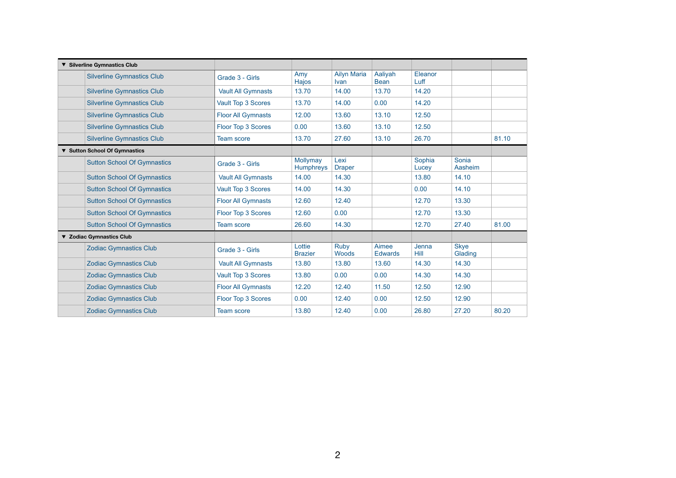| ▼ Silverline Gymnastics Club       |                           |                              |                             |                         |                 |                        |       |
|------------------------------------|---------------------------|------------------------------|-----------------------------|-------------------------|-----------------|------------------------|-------|
| <b>Silverline Gymnastics Club</b>  | Grade 3 - Girls           | Amy<br>Hajos                 | <b>Ailyn Maria</b><br>Ivan  | Aaliyah<br><b>Bean</b>  | Eleanor<br>Luff |                        |       |
| <b>Silverline Gymnastics Club</b>  | <b>Vault All Gymnasts</b> | 13.70                        | 14.00                       | 13.70                   | 14.20           |                        |       |
| <b>Silverline Gymnastics Club</b>  | <b>Vault Top 3 Scores</b> | 13.70                        | 14.00                       | 0.00                    | 14.20           |                        |       |
| <b>Silverline Gymnastics Club</b>  | <b>Floor All Gymnasts</b> | 12.00                        | 13.60                       | 13.10                   | 12.50           |                        |       |
| <b>Silverline Gymnastics Club</b>  | Floor Top 3 Scores        | 0.00                         | 13.60                       | 13.10                   | 12.50           |                        |       |
| <b>Silverline Gymnastics Club</b>  | <b>Team score</b>         | 13.70                        | 27.60                       | 13.10                   | 26.70           |                        | 81.10 |
| ▼ Sutton School Of Gymnastics      |                           |                              |                             |                         |                 |                        |       |
| <b>Sutton School Of Gymnastics</b> | Grade 3 - Girls           | Mollymay<br><b>Humphreys</b> | Lexi<br><b>Draper</b>       |                         | Sophia<br>Lucey | Sonia<br>Aasheim       |       |
| <b>Sutton School Of Gymnastics</b> | <b>Vault All Gymnasts</b> | 14.00                        | 14.30                       |                         | 13.80           | 14.10                  |       |
| <b>Sutton School Of Gymnastics</b> | <b>Vault Top 3 Scores</b> | 14.00                        | 14.30                       |                         | 0.00            | 14.10                  |       |
| <b>Sutton School Of Gymnastics</b> | <b>Floor All Gymnasts</b> | 12.60                        | 12.40                       |                         | 12.70           | 13.30                  |       |
| <b>Sutton School Of Gymnastics</b> | Floor Top 3 Scores        | 12.60                        | 0.00                        |                         | 12.70           | 13.30                  |       |
| <b>Sutton School Of Gymnastics</b> | <b>Team score</b>         | 26.60                        | 14.30                       |                         | 12.70           | 27.40                  | 81.00 |
| ▼ Zodiac Gymnastics Club           |                           |                              |                             |                         |                 |                        |       |
| <b>Zodiac Gymnastics Club</b>      | Grade 3 - Girls           | Lottie<br><b>Brazier</b>     | <b>Ruby</b><br><b>Woods</b> | Aimee<br><b>Edwards</b> | Jenna<br>Hill   | <b>Skye</b><br>Glading |       |
| <b>Zodiac Gymnastics Club</b>      | <b>Vault All Gymnasts</b> | 13.80                        | 13.80                       | 13.60                   | 14.30           | 14.30                  |       |
| <b>Zodiac Gymnastics Club</b>      | <b>Vault Top 3 Scores</b> | 13.80                        | 0.00                        | 0.00                    | 14.30           | 14.30                  |       |
| <b>Zodiac Gymnastics Club</b>      | <b>Floor All Gymnasts</b> | 12.20                        | 12.40                       | 11.50                   | 12.50           | 12.90                  |       |
| <b>Zodiac Gymnastics Club</b>      | Floor Top 3 Scores        | 0.00                         | 12.40                       | 0.00                    | 12.50           | 12.90                  |       |
| <b>Zodiac Gymnastics Club</b>      | <b>Team score</b>         | 13.80                        | 12.40                       | 0.00                    | 26.80           | 27.20                  | 80.20 |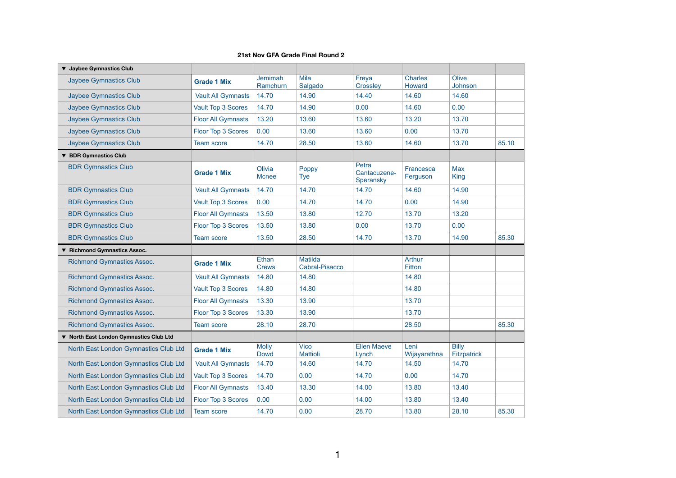| ▼ Jaybee Gymnastics Club                |                           |                              |                                         |                                    |                          |                                    |       |
|-----------------------------------------|---------------------------|------------------------------|-----------------------------------------|------------------------------------|--------------------------|------------------------------------|-------|
| <b>Jaybee Gymnastics Club</b>           | <b>Grade 1 Mix</b>        | <b>Jemimah</b><br>Ramchurn   | <b>Mila</b><br>Salgado                  | Freya<br>Crossley                  | <b>Charles</b><br>Howard | Olive<br>Johnson                   |       |
| <b>Jaybee Gymnastics Club</b>           | <b>Vault All Gymnasts</b> | 14.70                        | 14.90                                   | 14.40                              | 14.60                    | 14.60                              |       |
| <b>Jaybee Gymnastics Club</b>           | Vault Top 3 Scores        | 14.70                        | 14.90                                   | 0.00                               | 14.60                    | 0.00                               |       |
| <b>Jaybee Gymnastics Club</b>           | <b>Floor All Gymnasts</b> | 13.20                        | 13.60                                   | 13.60                              | 13.20                    | 13.70                              |       |
| <b>Jaybee Gymnastics Club</b>           | Floor Top 3 Scores        | 0.00                         | 13.60                                   | 13.60                              | 0.00                     | 13.70                              |       |
| <b>Jaybee Gymnastics Club</b>           | <b>Team score</b>         | 14.70                        | 28.50                                   | 13.60                              | 14.60                    | 13.70                              | 85.10 |
| ▼ BDR Gymnastics Club                   |                           |                              |                                         |                                    |                          |                                    |       |
| <b>BDR Gymnastics Club</b>              | <b>Grade 1 Mix</b>        | Olivia<br><b>Mcnee</b>       | Poppy<br><b>Tye</b>                     | Petra<br>Cantacuzene-<br>Speransky | Francesca<br>Ferguson    | <b>Max</b><br><b>King</b>          |       |
| <b>BDR Gymnastics Club</b>              | <b>Vault All Gymnasts</b> | 14.70                        | 14.70                                   | 14.70                              | 14.60                    | 14.90                              |       |
| <b>BDR Gymnastics Club</b>              | <b>Vault Top 3 Scores</b> | 0.00                         | 14.70                                   | 14.70                              | 0.00                     | 14.90                              |       |
| <b>BDR Gymnastics Club</b>              | <b>Floor All Gymnasts</b> | 13.50                        | 13.80                                   | 12.70                              | 13.70                    | 13.20                              |       |
| <b>BDR Gymnastics Club</b>              | Floor Top 3 Scores        | 13.50                        | 13.80                                   | 0.00                               | 13.70                    | 0.00                               |       |
| <b>BDR Gymnastics Club</b>              | <b>Team score</b>         | 13.50                        | 28.50                                   | 14.70                              | 13.70                    | 14.90                              | 85.30 |
| ▼ Richmond Gymnastics Assoc.            |                           |                              |                                         |                                    |                          |                                    |       |
| <b>Richmond Gymnastics Assoc.</b>       | <b>Grade 1 Mix</b>        | <b>Ethan</b><br><b>Crews</b> | <b>Matilda</b><br><b>Cabral-Pisacco</b> |                                    | <b>Arthur</b><br>Fitton  |                                    |       |
| <b>Richmond Gymnastics Assoc.</b>       | <b>Vault All Gymnasts</b> | 14.80                        | 14.80                                   |                                    | 14.80                    |                                    |       |
| <b>Richmond Gymnastics Assoc.</b>       | Vault Top 3 Scores        | 14.80                        | 14.80                                   |                                    | 14.80                    |                                    |       |
| <b>Richmond Gymnastics Assoc.</b>       | <b>Floor All Gymnasts</b> | 13.30                        | 13.90                                   |                                    | 13.70                    |                                    |       |
| <b>Richmond Gymnastics Assoc.</b>       | <b>Floor Top 3 Scores</b> | 13.30                        | 13.90                                   |                                    | 13.70                    |                                    |       |
| <b>Richmond Gymnastics Assoc.</b>       | <b>Team score</b>         | 28.10                        | 28.70                                   |                                    | 28.50                    |                                    | 85.30 |
| ▼ North East London Gymnastics Club Ltd |                           |                              |                                         |                                    |                          |                                    |       |
| North East London Gymnastics Club Ltd   | <b>Grade 1 Mix</b>        | <b>Molly</b><br><b>Dowd</b>  | <b>Vico</b><br><b>Mattioli</b>          | <b>Ellen Maeve</b><br>Lynch        | Leni<br>Wijayarathna     | <b>Billy</b><br><b>Fitzpatrick</b> |       |
| North East London Gymnastics Club Ltd   | <b>Vault All Gymnasts</b> | 14.70                        | 14.60                                   | 14.70                              | 14.50                    | 14.70                              |       |
| North East London Gymnastics Club Ltd   | Vault Top 3 Scores        | 14.70                        | 0.00                                    | 14.70                              | 0.00                     | 14.70                              |       |
| North East London Gymnastics Club Ltd   | <b>Floor All Gymnasts</b> | 13.40                        | 13.30                                   | 14.00                              | 13.80                    | 13.40                              |       |
| North East London Gymnastics Club Ltd   | Floor Top 3 Scores        | 0.00                         | 0.00                                    | 14.00                              | 13.80                    | 13.40                              |       |
| North East London Gymnastics Club Ltd   | <b>Team score</b>         | 14.70                        | 0.00                                    | 28.70                              | 13.80                    | 28.10                              | 85.30 |

| 85.10 |
|-------|
|       |
|       |
|       |
|       |
|       |
|       |
| 85.30 |
|       |
|       |
|       |
|       |
|       |
|       |
|       |
| 85.30 |
|       |
|       |
|       |
|       |
|       |
|       |